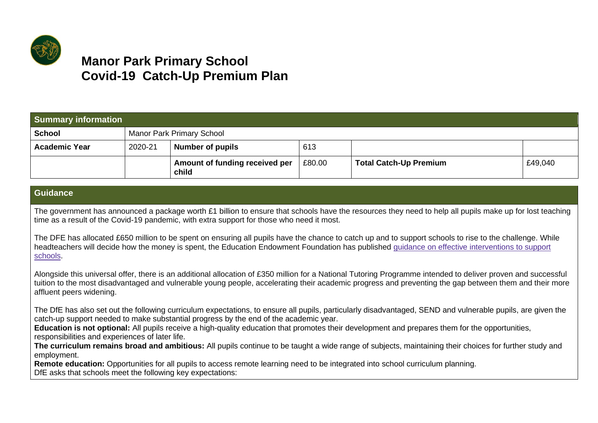

## **Manor Park Primary School Covid-19 Catch-Up Premium Plan**

| <b>Summary information</b> |         |                                         |        |                               |         |
|----------------------------|---------|-----------------------------------------|--------|-------------------------------|---------|
| <b>School</b>              |         | <b>Manor Park Primary School</b>        |        |                               |         |
| <b>Academic Year</b>       | 2020-21 | <b>Number of pupils</b>                 | 613    |                               |         |
|                            |         | Amount of funding received per<br>child | £80.00 | <b>Total Catch-Up Premium</b> | £49,040 |

## **Guidance**

The government has announced a [package](https://www.gov.uk/guidance/coronavirus-covid-19-catch-up-premium) worth £1 billion to ensure that schools have the resources they need to help all pupils make up for lost teaching time as a result of the Covid-19 pandemic, with extra support for those who need it most.

The DFE has allocated £650 million to be spent on ensuring all pupils have the chance to catch up and to support schools to rise to the challenge. While headteachers will decide how the money is spent, the Education Endowment Foundation has published guidance on effective [interventions](https://educationendowmentfoundation.org.uk/covid-19-resources/covid-19-support-guide-for-schools/) to support [schools.](https://educationendowmentfoundation.org.uk/covid-19-resources/covid-19-support-guide-for-schools/)

Alongside this universal offer, there is an additional allocation of £350 million for a National Tutoring Programme intended to deliver proven and successful tuition to the most disadvantaged and vulnerable young people, accelerating their academic progress and preventing the gap between them and their more affluent peers widening.

The DfE has also set out the following curriculum expectations, to ensure all pupils, particularly disadvantaged, SEND and vulnerable pupils, are given the catch-up support needed to make substantial progress by the end of the academic year.

**Education is not optional:** All pupils receive a high-quality education that promotes their development and prepares them for the opportunities, responsibilities and experiences of later life.

**The curriculum remains broad and ambitious:** All pupils continue to be taught a wide range of subjects, maintaining their choices for further study and employment.

**Remote education:** Opportunities for all pupils to access remote learning need to be integrated into school curriculum planning.

DfE asks that schools meet the following key expectations: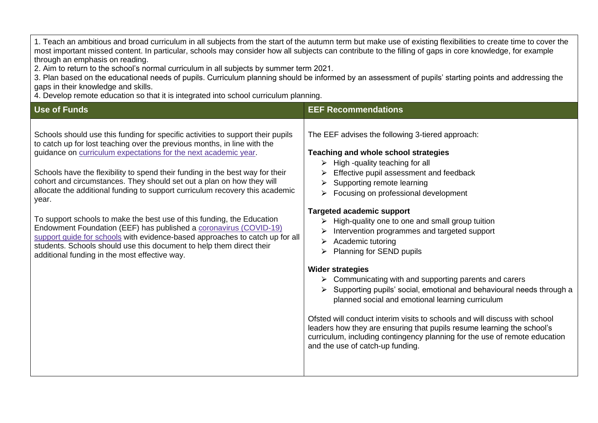1. Teach an ambitious and broad curriculum in all subjects from the start of the autumn term but make use of existing flexibilities to create time to cover the most important missed content. In particular, schools may consider how all subjects can contribute to the filling of gaps in core knowledge, for example through an emphasis on reading.

2. Aim to return to the school's normal curriculum in all subjects by summer term 2021.

3. Plan based on the educational needs of pupils. Curriculum planning should be informed by an assessment of pupils' starting points and addressing the gaps in their knowledge and skills.

4. Develop remote education so that it is integrated into school curriculum planning.

| <b>Use of Funds</b>                                                                                                                                                                                                                                                                                                                                                                                                                                                                                                                                         | <b>EEF Recommendations</b>                                                                                                                                                                                                                                                                                                                               |  |
|-------------------------------------------------------------------------------------------------------------------------------------------------------------------------------------------------------------------------------------------------------------------------------------------------------------------------------------------------------------------------------------------------------------------------------------------------------------------------------------------------------------------------------------------------------------|----------------------------------------------------------------------------------------------------------------------------------------------------------------------------------------------------------------------------------------------------------------------------------------------------------------------------------------------------------|--|
| Schools should use this funding for specific activities to support their pupils<br>to catch up for lost teaching over the previous months, in line with the<br>guidance on curriculum expectations for the next academic year.<br>Schools have the flexibility to spend their funding in the best way for their<br>cohort and circumstances. They should set out a plan on how they will<br>allocate the additional funding to support curriculum recovery this academic<br>year.<br>To support schools to make the best use of this funding, the Education | The EEF advises the following 3-tiered approach:<br>Teaching and whole school strategies<br>$\triangleright$ High -quality teaching for all<br>Effective pupil assessment and feedback<br>Supporting remote learning<br>Focusing on professional development<br><b>Targeted academic support</b><br>High-quality one to one and small group tuition<br>➤ |  |
| Endowment Foundation (EEF) has published a coronavirus (COVID-19)<br>support guide for schools with evidence-based approaches to catch up for all<br>students. Schools should use this document to help them direct their<br>additional funding in the most effective way.                                                                                                                                                                                                                                                                                  | Intervention programmes and targeted support<br>Academic tutoring<br>➤<br>Planning for SEND pupils                                                                                                                                                                                                                                                       |  |
|                                                                                                                                                                                                                                                                                                                                                                                                                                                                                                                                                             | <b>Wider strategies</b><br>Communicating with and supporting parents and carers                                                                                                                                                                                                                                                                          |  |
|                                                                                                                                                                                                                                                                                                                                                                                                                                                                                                                                                             | Supporting pupils' social, emotional and behavioural needs through a<br>planned social and emotional learning curriculum                                                                                                                                                                                                                                 |  |
|                                                                                                                                                                                                                                                                                                                                                                                                                                                                                                                                                             | Ofsted will conduct interim visits to schools and will discuss with school<br>leaders how they are ensuring that pupils resume learning the school's<br>curriculum, including contingency planning for the use of remote education<br>and the use of catch-up funding.                                                                                   |  |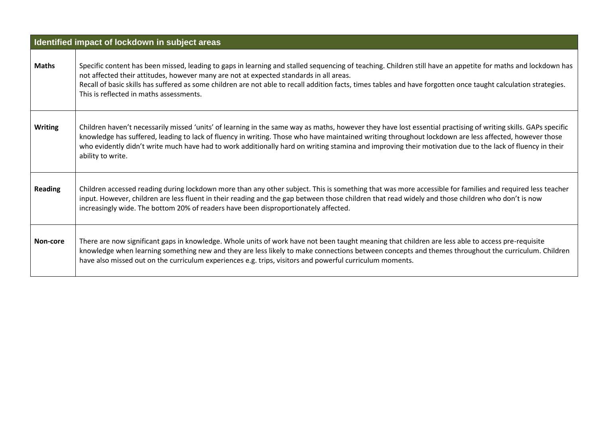|                | Identified impact of lockdown in subject areas                                                                                                                                                                                                                                                                                                                                                                                                                                                           |
|----------------|----------------------------------------------------------------------------------------------------------------------------------------------------------------------------------------------------------------------------------------------------------------------------------------------------------------------------------------------------------------------------------------------------------------------------------------------------------------------------------------------------------|
| <b>Maths</b>   | Specific content has been missed, leading to gaps in learning and stalled sequencing of teaching. Children still have an appetite for maths and lockdown has<br>not affected their attitudes, however many are not at expected standards in all areas.<br>Recall of basic skills has suffered as some children are not able to recall addition facts, times tables and have forgotten once taught calculation strategies.<br>This is reflected in maths assessments.                                     |
| <b>Writing</b> | Children haven't necessarily missed 'units' of learning in the same way as maths, however they have lost essential practising of writing skills. GAPs specific<br>knowledge has suffered, leading to lack of fluency in writing. Those who have maintained writing throughout lockdown are less affected, however those<br>who evidently didn't write much have had to work additionally hard on writing stamina and improving their motivation due to the lack of fluency in their<br>ability to write. |
| <b>Reading</b> | Children accessed reading during lockdown more than any other subject. This is something that was more accessible for families and required less teacher<br>input. However, children are less fluent in their reading and the gap between those children that read widely and those children who don't is now<br>increasingly wide. The bottom 20% of readers have been disproportionately affected.                                                                                                     |
| Non-core       | There are now significant gaps in knowledge. Whole units of work have not been taught meaning that children are less able to access pre-requisite<br>knowledge when learning something new and they are less likely to make connections between concepts and themes throughout the curriculum. Children<br>have also missed out on the curriculum experiences e.g. trips, visitors and powerful curriculum moments.                                                                                      |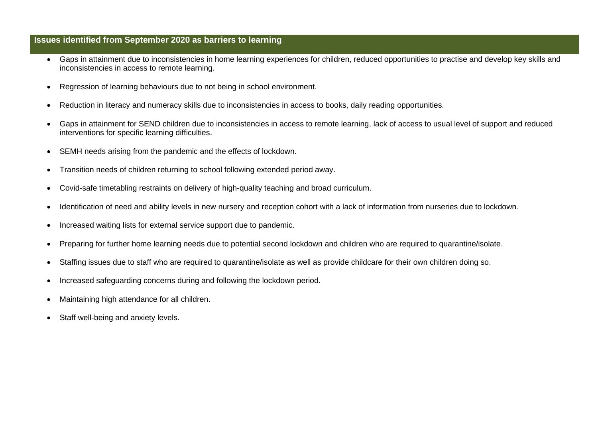## **Issues identified from September 2020 as barriers to learning**

- Gaps in attainment due to inconsistencies in home learning experiences for children, reduced opportunities to practise and develop key skills and inconsistencies in access to remote learning.
- Regression of learning behaviours due to not being in school environment.
- Reduction in literacy and numeracy skills due to inconsistencies in access to books, daily reading opportunities.
- Gaps in attainment for SEND children due to inconsistencies in access to remote learning, lack of access to usual level of support and reduced interventions for specific learning difficulties.
- SEMH needs arising from the pandemic and the effects of lockdown.
- Transition needs of children returning to school following extended period away.
- Covid-safe timetabling restraints on delivery of high-quality teaching and broad curriculum.
- Identification of need and ability levels in new nursery and reception cohort with a lack of information from nurseries due to lockdown.
- Increased waiting lists for external service support due to pandemic.
- Preparing for further home learning needs due to potential second lockdown and children who are required to quarantine/isolate.
- Staffing issues due to staff who are required to quarantine/isolate as well as provide childcare for their own children doing so.
- Increased safeguarding concerns during and following the lockdown period.
- Maintaining high attendance for all children.
- Staff well-being and anxiety levels.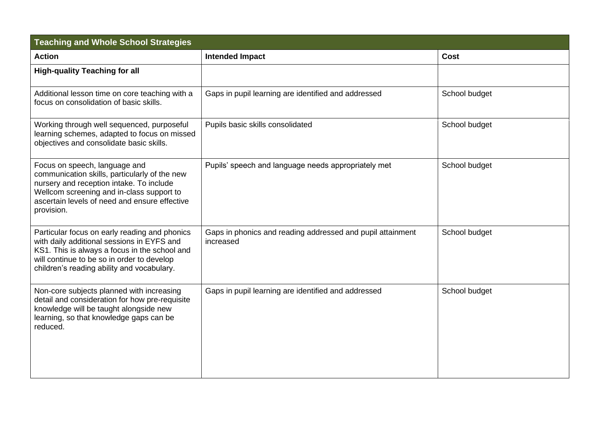| <b>Teaching and Whole School Strategies</b>                                                                                                                                                                                              |                                                                         |               |  |
|------------------------------------------------------------------------------------------------------------------------------------------------------------------------------------------------------------------------------------------|-------------------------------------------------------------------------|---------------|--|
| <b>Action</b>                                                                                                                                                                                                                            | <b>Intended Impact</b>                                                  | <b>Cost</b>   |  |
| <b>High-quality Teaching for all</b>                                                                                                                                                                                                     |                                                                         |               |  |
| Additional lesson time on core teaching with a<br>focus on consolidation of basic skills.                                                                                                                                                | Gaps in pupil learning are identified and addressed                     | School budget |  |
| Working through well sequenced, purposeful<br>learning schemes, adapted to focus on missed<br>objectives and consolidate basic skills.                                                                                                   | Pupils basic skills consolidated                                        | School budget |  |
| Focus on speech, language and<br>communication skills, particularly of the new<br>nursery and reception intake. To include<br>Wellcom screening and in-class support to<br>ascertain levels of need and ensure effective<br>provision.   | Pupils' speech and language needs appropriately met                     | School budget |  |
| Particular focus on early reading and phonics<br>with daily additional sessions in EYFS and<br>KS1. This is always a focus in the school and<br>will continue to be so in order to develop<br>children's reading ability and vocabulary. | Gaps in phonics and reading addressed and pupil attainment<br>increased | School budget |  |
| Non-core subjects planned with increasing<br>detail and consideration for how pre-requisite<br>knowledge will be taught alongside new<br>learning, so that knowledge gaps can be<br>reduced.                                             | Gaps in pupil learning are identified and addressed                     | School budget |  |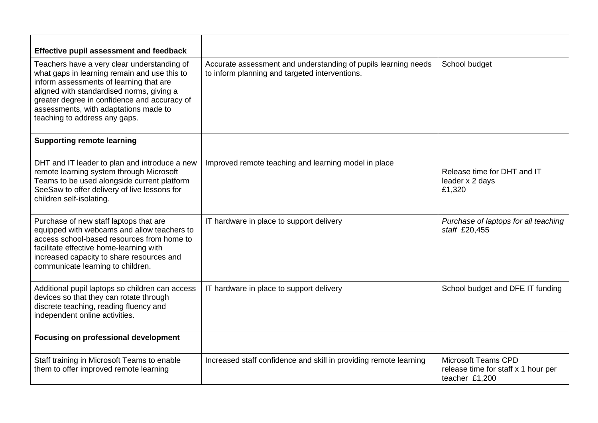| Effective pupil assessment and feedback                                                                                                                                                                                                                                                                       |                                                                                                                  |                                                                                     |
|---------------------------------------------------------------------------------------------------------------------------------------------------------------------------------------------------------------------------------------------------------------------------------------------------------------|------------------------------------------------------------------------------------------------------------------|-------------------------------------------------------------------------------------|
| Teachers have a very clear understanding of<br>what gaps in learning remain and use this to<br>inform assessments of learning that are<br>aligned with standardised norms, giving a<br>greater degree in confidence and accuracy of<br>assessments, with adaptations made to<br>teaching to address any gaps. | Accurate assessment and understanding of pupils learning needs<br>to inform planning and targeted interventions. | School budget                                                                       |
| <b>Supporting remote learning</b>                                                                                                                                                                                                                                                                             |                                                                                                                  |                                                                                     |
| DHT and IT leader to plan and introduce a new<br>remote learning system through Microsoft<br>Teams to be used alongside current platform<br>SeeSaw to offer delivery of live lessons for<br>children self-isolating.                                                                                          | Improved remote teaching and learning model in place                                                             | Release time for DHT and IT<br>leader x 2 days<br>£1,320                            |
| Purchase of new staff laptops that are<br>equipped with webcams and allow teachers to<br>access school-based resources from home to<br>facilitate effective home-learning with<br>increased capacity to share resources and<br>communicate learning to children.                                              | IT hardware in place to support delivery                                                                         | Purchase of laptops for all teaching<br>staff £20,455                               |
| Additional pupil laptops so children can access<br>devices so that they can rotate through<br>discrete teaching, reading fluency and<br>independent online activities.                                                                                                                                        | IT hardware in place to support delivery                                                                         | School budget and DFE IT funding                                                    |
| <b>Focusing on professional development</b>                                                                                                                                                                                                                                                                   |                                                                                                                  |                                                                                     |
| Staff training in Microsoft Teams to enable<br>them to offer improved remote learning                                                                                                                                                                                                                         | Increased staff confidence and skill in providing remote learning                                                | <b>Microsoft Teams CPD</b><br>release time for staff x 1 hour per<br>teacher £1,200 |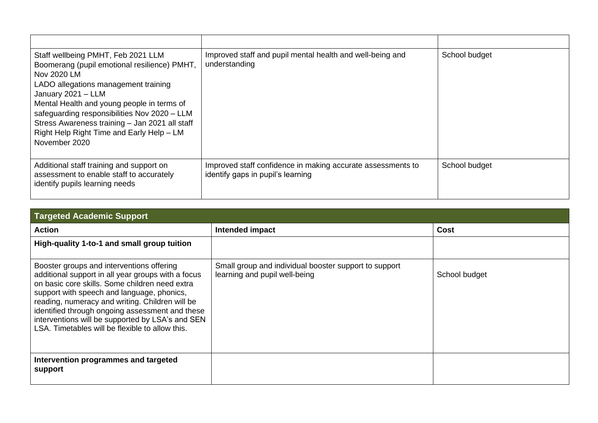| Staff wellbeing PMHT, Feb 2021 LLM<br>Boomerang (pupil emotional resilience) PMHT,<br>Nov 2020 LM<br>LADO allegations management training<br>January 2021 - LLM<br>Mental Health and young people in terms of<br>safeguarding responsibilities Nov 2020 - LLM<br>Stress Awareness training - Jan 2021 all staff<br>Right Help Right Time and Early Help - LM<br>November 2020 | Improved staff and pupil mental health and well-being and<br>understanding                       | School budget |
|-------------------------------------------------------------------------------------------------------------------------------------------------------------------------------------------------------------------------------------------------------------------------------------------------------------------------------------------------------------------------------|--------------------------------------------------------------------------------------------------|---------------|
| Additional staff training and support on<br>assessment to enable staff to accurately<br>identify pupils learning needs                                                                                                                                                                                                                                                        | Improved staff confidence in making accurate assessments to<br>identify gaps in pupil's learning | School budget |

| <b>Targeted Academic Support</b>                                                                                                                                                                                                                                                                                                                                                                             |                                                                                        |               |  |
|--------------------------------------------------------------------------------------------------------------------------------------------------------------------------------------------------------------------------------------------------------------------------------------------------------------------------------------------------------------------------------------------------------------|----------------------------------------------------------------------------------------|---------------|--|
| <b>Action</b>                                                                                                                                                                                                                                                                                                                                                                                                | Intended impact                                                                        | Cost          |  |
| High-quality 1-to-1 and small group tuition                                                                                                                                                                                                                                                                                                                                                                  |                                                                                        |               |  |
| Booster groups and interventions offering<br>additional support in all year groups with a focus<br>on basic core skills. Some children need extra<br>support with speech and language, phonics,<br>reading, numeracy and writing. Children will be<br>identified through ongoing assessment and these<br>interventions will be supported by LSA's and SEN<br>LSA. Timetables will be flexible to allow this. | Small group and individual booster support to support<br>learning and pupil well-being | School budget |  |
| Intervention programmes and targeted<br>support                                                                                                                                                                                                                                                                                                                                                              |                                                                                        |               |  |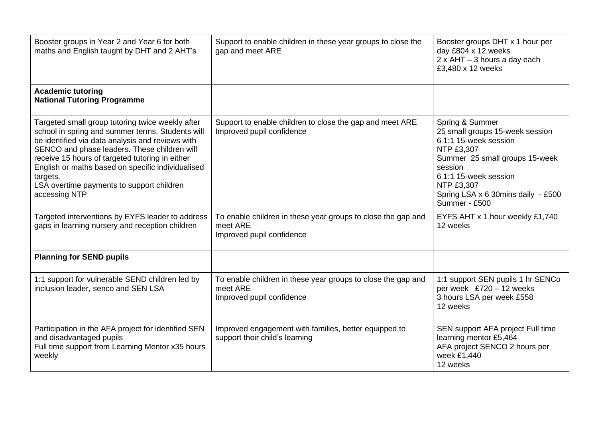| Booster groups in Year 2 and Year 6 for both<br>maths and English taught by DHT and 2 AHT's                                                                                                                                                                                                                                                                                                | Support to enable children in these year groups to close the<br>gap and meet ARE                      | Booster groups DHT x 1 hour per<br>day £804 x 12 weeks<br>$2 \times$ AHT - 3 hours a day each<br>£3,480 x 12 weeks                                                                                                                                 |
|--------------------------------------------------------------------------------------------------------------------------------------------------------------------------------------------------------------------------------------------------------------------------------------------------------------------------------------------------------------------------------------------|-------------------------------------------------------------------------------------------------------|----------------------------------------------------------------------------------------------------------------------------------------------------------------------------------------------------------------------------------------------------|
| <b>Academic tutoring</b><br><b>National Tutoring Programme</b>                                                                                                                                                                                                                                                                                                                             |                                                                                                       |                                                                                                                                                                                                                                                    |
| Targeted small group tutoring twice weekly after<br>school in spring and summer terms. Students will<br>be identified via data analysis and reviews with<br>SENCO and phase leaders. These children will<br>receive 15 hours of targeted tutoring in either<br>English or maths based on specific individualised<br>targets.<br>LSA overtime payments to support children<br>accessing NTP | Support to enable children to close the gap and meet ARE<br>Improved pupil confidence                 | Spring & Summer<br>25 small groups 15-week session<br>6 1:1 15-week session<br><b>NTP £3,307</b><br>Summer 25 small groups 15-week<br>session<br>6 1:1 15-week session<br><b>NTP £3,307</b><br>Spring LSA x 6 30mins daily - £500<br>Summer - £500 |
| Targeted interventions by EYFS leader to address<br>gaps in learning nursery and reception children                                                                                                                                                                                                                                                                                        | To enable children in these year groups to close the gap and<br>meet ARE<br>Improved pupil confidence | EYFS AHT x 1 hour weekly £1,740<br>12 weeks                                                                                                                                                                                                        |
| <b>Planning for SEND pupils</b>                                                                                                                                                                                                                                                                                                                                                            |                                                                                                       |                                                                                                                                                                                                                                                    |
| 1:1 support for vulnerable SEND children led by<br>inclusion leader, senco and SEN LSA                                                                                                                                                                                                                                                                                                     | To enable children in these year groups to close the gap and<br>meet ARE<br>Improved pupil confidence | 1:1 support SEN pupils 1 hr SENCo<br>per week £720 - 12 weeks<br>3 hours LSA per week £558<br>12 weeks                                                                                                                                             |
| Participation in the AFA project for identified SEN<br>and disadvantaged pupils<br>Full time support from Learning Mentor x35 hours<br>weekly                                                                                                                                                                                                                                              | Improved engagement with families, better equipped to<br>support their child's learning               | SEN support AFA project Full time<br>learning mentor £5,464<br>AFA project SENCO 2 hours per<br>week £1,440<br>12 weeks                                                                                                                            |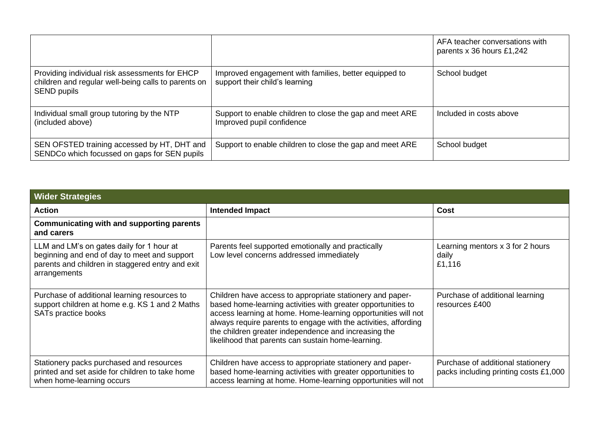|                                                                                                                             |                                                                                         | AFA teacher conversations with<br>parents x 36 hours £1,242 |
|-----------------------------------------------------------------------------------------------------------------------------|-----------------------------------------------------------------------------------------|-------------------------------------------------------------|
| Providing individual risk assessments for EHCP<br>children and regular well-being calls to parents on<br><b>SEND pupils</b> | Improved engagement with families, better equipped to<br>support their child's learning | School budget                                               |
| Individual small group tutoring by the NTP<br>(included above)                                                              | Support to enable children to close the gap and meet ARE<br>Improved pupil confidence   | Included in costs above                                     |
| SEN OFSTED training accessed by HT, DHT and<br>SENDCo which focussed on gaps for SEN pupils                                 | Support to enable children to close the gap and meet ARE                                | School budget                                               |

| <b>Wider Strategies</b>                                                                                                                                       |                                                                                                                                                                                                                                                                                                                                                                             |                                                                            |  |
|---------------------------------------------------------------------------------------------------------------------------------------------------------------|-----------------------------------------------------------------------------------------------------------------------------------------------------------------------------------------------------------------------------------------------------------------------------------------------------------------------------------------------------------------------------|----------------------------------------------------------------------------|--|
| <b>Action</b>                                                                                                                                                 | <b>Intended Impact</b>                                                                                                                                                                                                                                                                                                                                                      | <b>Cost</b>                                                                |  |
| <b>Communicating with and supporting parents</b><br>and carers                                                                                                |                                                                                                                                                                                                                                                                                                                                                                             |                                                                            |  |
| LLM and LM's on gates daily for 1 hour at<br>beginning and end of day to meet and support<br>parents and children in staggered entry and exit<br>arrangements | Parents feel supported emotionally and practically<br>Low level concerns addressed immediately                                                                                                                                                                                                                                                                              | Learning mentors x 3 for 2 hours<br>daily<br>£1,116                        |  |
| Purchase of additional learning resources to<br>support children at home e.g. KS 1 and 2 Maths<br>SATs practice books                                         | Children have access to appropriate stationery and paper-<br>based home-learning activities with greater opportunities to<br>access learning at home. Home-learning opportunities will not<br>always require parents to engage with the activities, affording<br>the children greater independence and increasing the<br>likelihood that parents can sustain home-learning. | Purchase of additional learning<br>resources £400                          |  |
| Stationery packs purchased and resources<br>printed and set aside for children to take home<br>when home-learning occurs                                      | Children have access to appropriate stationery and paper-<br>based home-learning activities with greater opportunities to<br>access learning at home. Home-learning opportunities will not                                                                                                                                                                                  | Purchase of additional stationery<br>packs including printing costs £1,000 |  |